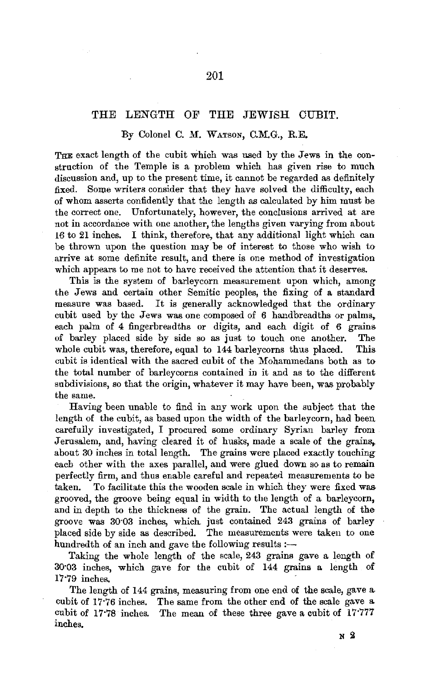## THE LENGTH OF THE JEWISH CUBIT.

## By Colonel C. M. WATSON, C.M.G., R.E.

THE exact length of the cubit which was used by the Jews in the construction of the Temple is a problem which has given rise to much discussion and, up to the present time, it cannot be regarded as definitely fixed. Some writers consider that they have solved the difficulty, each of whom asserts confidently that the length as calculated by him must be the correct one. Unfortunately, however, the conclusions arrived at are not in accordance with one another, the lengths given varying from about 16 to 21 inches. I think, therefore, that any additional light which can be thrown upon the question may be of interest to those who wish to arrive at some definite result, and there is one method of investigation which appears to me not to have received the attention that it deserves.

This is the system of barleycorn measurement upon which, among the Jews and certain other Semitic peoples, the fixing of a standard measure was based. It is generally acknowledged that the ordinary cubit used by the Jews was one composed of 6 handbreadths or palms, each palm of 4 fingerbreadths or digits, and each digit of 6 grains of barley placed side by side so as just to touch one another. The whole cubit was, therefore, equal to 144 barleycorns thus placed. This cubit is identical with the sacred cubit of the Mohammedans both as to the total number of barleycorns contained in it and as to the different subdivisions, so that the origin, whatever it may have been, was probably the same.

Having been unable to find in any work upon the subject that the length of the cubit, as based upon the width of the barleycorn, had been carefully investigated, I procured some ordinary Syrian barley from Jerusalem, and, having cleared it of husks, made a scale of the grains, about 30 inches in total length. The grains were placed exactly touching each other with the axes parallel, and were glued down so as to remain perfectly firm, and thus enable careful and repeated measurements to be taken. To facilitate this the wooden scale in which they were fixed was grooved, the groove being equal in width to the length of a barleycorn, and in depth to the thickness of the grain. The actual length of the groove was 30·03 inches, which. just contained 243 grains of barley placed side by side as described. The measurements were takeu to one hundredth of an inch and gave the following results  $:$ -

Taking the whole length of the scale, 243 grains gave a length of 30·03 inches, which gave for the cubit of 144 grains a length of 17·79 inches,

The length of 144 grains, measuring from one end of the scale, gave a. cubit of 17·76 inches. The same from the other end of the scale gave a. cubit of  $17.78$  inches. The mean of these three gave a cubit of  $17.777$ inches.

**N 2**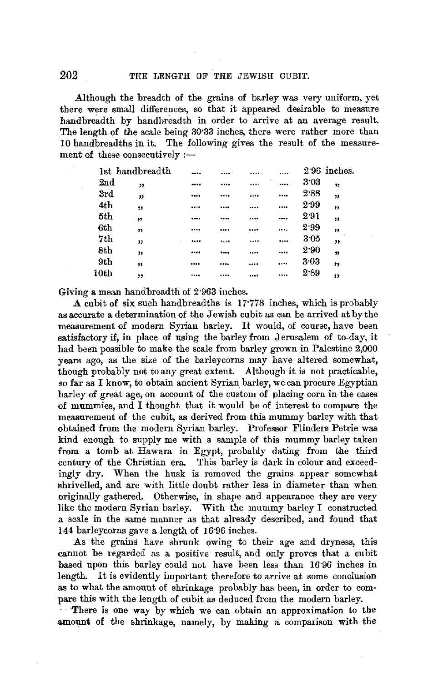Although the breadth of the grains of barley was very uniform, yet there were small differences, so that it appeared desirable to measure handbreadth by handbreadth in order to arrive at an average result. The length of the scale being 30·33 inches, there were rather more than 10 handbreadths in it. The following gives the result of the measurement of these consecutively  $:$ --

| 1st handbreadth |                     |               |           |                 | 2.96 inches.            |
|-----------------|---------------------|---------------|-----------|-----------------|-------------------------|
| 2nd             | "                   |               | <br>×<br> | 3.03            | 17                      |
| 3rd             | 33                  | <br>          | <br>      | 2.88            | "                       |
| 4th             | 99                  |               | <br>      | 2.99            | ,,                      |
| 5th             | 52                  |               |           | 2.91            | $\overline{\mathbf{r}}$ |
| 6th             | ,,                  |               |           | 2.99            | ,,                      |
| 7th             | $\boldsymbol{\eta}$ | <br>45.48     |           | 3 <sub>05</sub> | $\overline{\mathbf{v}}$ |
| 8th             | $\mathbf{v}$        | <br><b>A </b> | <br>      | 2.90            | 33                      |
| 9th             | ,,                  |               | <br>.     | 3.03            | ,,                      |
| $_{\rm 10th}$   | ,,                  |               |           | 2.89            | ,,                      |
|                 |                     |               |           |                 |                         |

Giving a mean handbreadth of 2·963 inches.

**A** cubit of six such handbreadths is **l** 7·778 inches, which is probably as accurate a determination of the Jewish cubit as can be arrived at by the measurement of modern Syrian barley. It would, of course, have been satisfactory if, in place of using the barley from Jerusalem of to-day, it had been possible to make the scale from barley grown in Palestine 2,000 years ago, as the size of the barleycorns may have altered somewhat, though probably not to any great extent. Although it is not practicable, so far as I know, to obtain ancient Syrian barley, we can procure Egyptian barley of great age, on account of the custom of placing corn in the cases of mummies, and I thought that it would be of interest to compare the measurement of the cubit, as derived from this mummy barley with that obtained from the modern Syrian barley. Professor Flinders Petrie was kind enough to supply me with a sample of this mummy barley taken from a tomb at Hawara in Egypt, probably dating from the third century of the Christian era. This barley is dark in colour and exceedingly dry. When the husk is removed the grains appear somewhat shrivelled, and are with little doubt rather less in diameter than when originally gathered. Otherwise, in shape and appearance they are very like the modern Syrian barley. With the mummy barley I constructed a scale in the same manner as that already described, and found that 144 barleycorns gave a length of 16·96 inches.

As the grains have shrunk owing to their age and dryness, this cannot be regarded as a positive result, and only proves that a cubit based upon this barley could not have been less than 16·96 inches in length. It is evidently important therefore to arrive at some conclusion as to what the amount of shrinkage probably has been, in order to compare this with the length of cubit as deduced from the modern barley.

There is one way by which we can obtain an approximation to the amount of the shrinkage, namely, by making a comparison with the